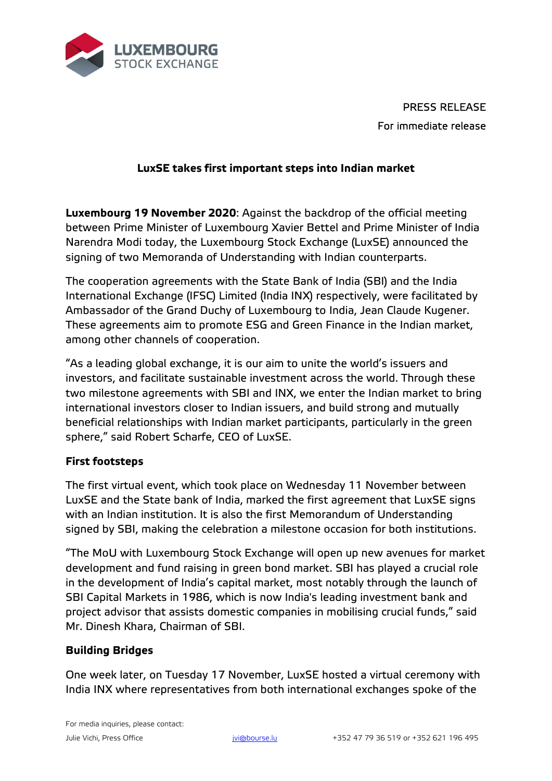

PRESS RELEASE For immediate release

# **LuxSE takes first important steps into Indian market**

**Luxembourg 19 November 2020**: Against the backdrop of the official meeting between Prime Minister of Luxembourg Xavier Bettel and Prime Minister of India Narendra Modi today, the Luxembourg Stock Exchange (LuxSE) announced the signing of two Memoranda of Understanding with Indian counterparts.

The cooperation agreements with the State Bank of India (SBI) and the India International Exchange (IFSC) Limited (India INX) respectively, were facilitated by Ambassador of the Grand Duchy of Luxembourg to India, Jean Claude Kugener. These agreements aim to promote ESG and Green Finance in the Indian market, among other channels of cooperation.

"As a leading global exchange, it is our aim to unite the world's issuers and investors, and facilitate sustainable investment across the world. Through these two milestone agreements with SBI and INX, we enter the Indian market to bring international investors closer to Indian issuers, and build strong and mutually beneficial relationships with Indian market participants, particularly in the green sphere," said Robert Scharfe, CEO of LuxSE.

## **First footsteps**

The first virtual event, which took place on Wednesday 11 November between LuxSE and the State bank of India, marked the first agreement that LuxSE signs with an Indian institution. It is also the first Memorandum of Understanding signed by SBI, making the celebration a milestone occasion for both institutions.

"The MoU with Luxembourg Stock Exchange will open up new avenues for market development and fund raising in green bond market. SBI has played a crucial role in the development of India's capital market, most notably through the launch of SBI Capital Markets in 1986, which is now India's leading investment bank and project advisor that assists domestic companies in mobilising crucial funds," said Mr. Dinesh Khara, Chairman of SBI.

## **Building Bridges**

One week later, on Tuesday 17 November, LuxSE hosted a virtual ceremony with India INX where representatives from both international exchanges spoke of the